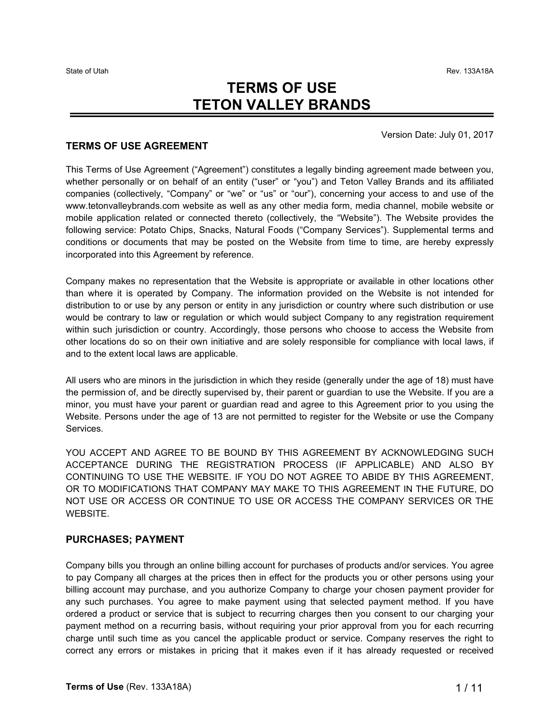# State of Utah **TERMS OF USE**<br> **Rev. 133A18A**<br> **Rev. 133A18A** TERMS OF USE TETON VALLEY BRANDS

Version Date: July 01, 2017

#### TERMS OF USE AGREEMENT

This Terms of Use Agreement ("Agreement") constitutes a legally binding agreement made between you, whether personally or on behalf of an entity ("user" or "you") and Teton Valley Brands and its affiliated companies (collectively, "Company" or "we" or "us" or "our"), concerning your access to and use of the www.tetonvalleybrands.com website as well as any other media form, media channel, mobile website or mobile application related or connected thereto (collectively, the "Website"). The Website provides the following service: Potato Chips, Snacks, Natural Foods ("Company Services"). Supplemental terms and conditions or documents that may be posted on the Website from time to time, are hereby expressly incorporated into this Agreement by reference.

Company makes no representation that the Website is appropriate or available in other locations other than where it is operated by Company. The information provided on the Website is not intended for distribution to or use by any person or entity in any jurisdiction or country where such distribution or use would be contrary to law or regulation or which would subject Company to any registration requirement within such jurisdiction or country. Accordingly, those persons who choose to access the Website from other locations do so on their own initiative and are solely responsible for compliance with local laws, if and to the extent local laws are applicable.

All users who are minors in the jurisdiction in which they reside (generally under the age of 18) must have the permission of, and be directly supervised by, their parent or guardian to use the Website. If you are a minor, you must have your parent or guardian read and agree to this Agreement prior to you using the Website. Persons under the age of 13 are not permitted to register for the Website or use the Company Services.

YOU ACCEPT AND AGREE TO BE BOUND BY THIS AGREEMENT BY ACKNOWLEDGING SUCH ACCEPTANCE DURING THE REGISTRATION PROCESS (IF APPLICABLE) AND ALSO BY CONTINUING TO USE THE WEBSITE. IF YOU DO NOT AGREE TO ABIDE BY THIS AGREEMENT, OR TO MODIFICATIONS THAT COMPANY MAY MAKE TO THIS AGREEMENT IN THE FUTURE, DO NOT USE OR ACCESS OR CONTINUE TO USE OR ACCESS THE COMPANY SERVICES OR THE WEBSITE.

#### PURCHASES; PAYMENT

Company bills you through an online billing account for purchases of products and/or services. You agree to pay Company all charges at the prices then in effect for the products you or other persons using your and to the extent local laws are applicable.<br>All users who are minors in the jurisdiction in which they reside (generally under the age of 18) must have<br>the permission of, and be directly supervised by, their parent or qua any such purchases. You agree to make payment using that selected payment method. If you have ordered a product or service that is subject to recurring charges then you consent to our charging your payment method on a recurring basis, without requiring your prior approval from you for each recurring charge until such time as you cancel the applicable product or service. Company reserves the right to correct any errors or mistakes in pricing that it makes even if it has already requested or received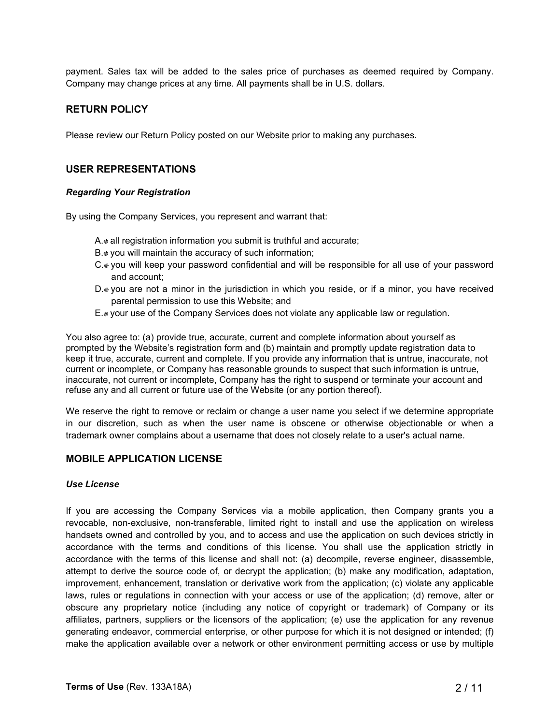payment. Sales tax will be added to the sales price of purchases as deemed required by Company. Company may change prices at any time. All payments shall be in U.S. dollars.

## RETURN POLICY

Please review our Return Policy posted on our Website prior to making any purchases.

## USER REPRESENTATIONS

#### Regarding Your Registration

By using the Company Services, you represent and warrant that:

- A.<sup>®</sup> all registration information you submit is truthful and accurate;
- B.<sup>®</sup> you will maintain the accuracy of such information;
- C.<sup>®</sup> you will keep your password confidential and will be responsible for all use of your password and account;
- $D.\circ$  you are not a minor in the jurisdiction in which you reside, or if a minor, you have received parental permission to use this Website; and
- E.<sup>®</sup> your use of the Company Services does not violate any applicable law or regulation.

You also agree to: (a) provide true, accurate, current and complete information about yourself as prompted by the Website's registration form and (b) maintain and promptly update registration data to keep it true, accurate, current and complete. If you provide any information that is untrue, inaccurate, not current or incomplete, or Company has reasonable grounds to suspect that such information is untrue, inaccurate, not current or incomplete, Company has the right to suspend or terminate your account and refuse any and all current or future use of the Website (or any portion thereof).

We reserve the right to remove or reclaim or change a user name you select if we determine appropriate in our discretion, such as when the user name is obscene or otherwise objectionable or when a trademark owner complains about a username that does not closely relate to a user's actual name.

# MOBILE APPLICATION LICENSE

#### Use License

If you are accessing the Company Services via a mobile application, then Company grants you a Do you are not a minor in the jurisdiction in which you reside, or if a minor, you have received<br>
Exervant permission to use this Website; and violate any applicable law or regulation.<br>
You also agree to: (a) provide true, handsets owned and controlled by you, and to access and use the application on such devices strictly in accordance with the terms and conditions of this license. You shall use the application strictly in accordance with the terms of this license and shall not: (a) decompile, reverse engineer, disassemble, attempt to derive the source code of, or decrypt the application; (b) make any modification, adaptation, improvement, enhancement, translation or derivative work from the application; (c) violate any applicable laws, rules or regulations in connection with your access or use of the application; (d) remove, alter or obscure any proprietary notice (including any notice of copyright or trademark) of Company or its affiliates, partners, suppliers or the licensors of the application; (e) use the application for any revenue generating endeavor, commercial enterprise, or other purpose for which it is not designed or intended; (f) make the application available over a network or other environment permitting access or use by multiple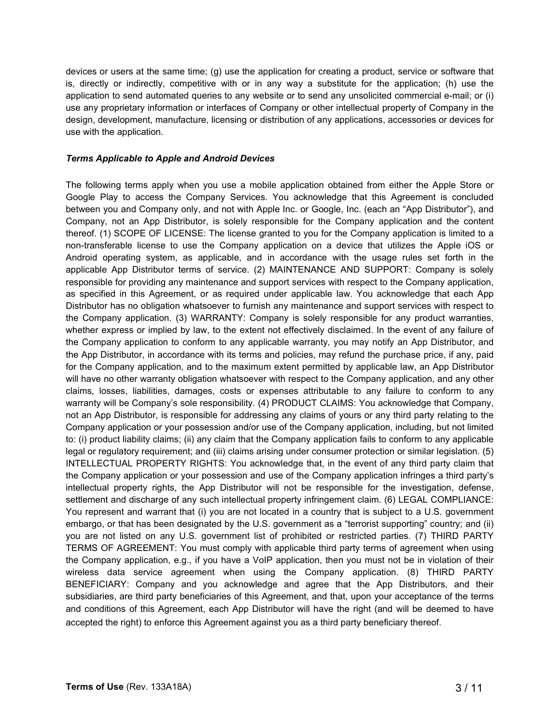devices or users at the same time; (g) use the application for creating a product, service or software that is, directly or indirectly, competitive with or in any way a substitute for the application; (h) use the application to send automated queries to any website or to send any unsolicited commercial e-mail; or (i) use any proprietary information or interfaces of Company or other intellectual property of Company in the design, development, manufacture, licensing or distribution of any applications, accessories or devices for use with the application.

#### Terms Applicable to Apple and Android Devices

The following terms apply when you use a mobile application obtained from either the Apple Store or Google Play to access the Company Services. You acknowledge that this Agreement is concluded between you and Company only, and not with Apple Inc. or Google, Inc. (each an "App Distributor"), and Company, not an App Distributor, is solely responsible for the Company application and the content thereof. (1) SCOPE OF LICENSE: The license granted to you for the Company application is limited to a devices or users at the same time; (g) use the application for creating a product, service or software that<br>is, directly or indirectly, competitive with or in any way a substitute for the application; (h) use the<br>applicati Android operating system, as applicable, and in accordance with the usage rules set forth in the applicable App Distributor terms of service. (2) MAINTENANCE AND SUPPORT: Company is solely responsible for providing any maintenance and support services with respect to the Company application, devices or users at the same time; (g) use the application for creating a product, service or software that<br>is, directly or indicated with or in any way a substitute for the application; (h) use the<br>application to send aut Distributor has no obligation whatsoever to furnish any maintenance and support services with respect to the Company application. (3) WARRANTY: Company is solely responsible for any product warranties, whether express or implied by law, to the extent not effectively disclaimed. In the event of any failure of the Company application to conform to any applicable warranty, you may notify an App Distributor, and the App Distributor, in accordance with its terms and policies, may refund the purchase price, if any, paid for the Company application, and to the maximum extent permitted by applicable law, an App Distributor will have no other warranty obligation whatsoever with respect to the Company application, and any other claims, losses, liabilities, damages, costs or expenses attributable to any failure to conform to any warranty will be Company's sole responsibility. (4) PRODUCT CLAIMS: You acknowledge that Company, not an App Distributor, is responsible for addressing any claims of yours or any third party relating to the Company application or your possession and/or use of the Company application, including, but not limited to: (i) product liability claims; (ii) any claim that the Company application fails to conform to any applicable legal or regulatory requirement; and (iii) claims arising under consumer protection or similar legislation. (5) INTELLECTUAL PROPERTY RIGHTS: You acknowledge that, in the event of any third party claim that the Company application or your possession and use of the Company application infringes a third party's intellectual property rights, the App Distributor will not be responsible for the investigation, defense, settlement and discharge of any such intellectual property infringement claim. (6) LEGAL COMPLIANCE: You represent and warrant that (i) you are not located in a country that is subject to a U.S. government embargo, or that has been designated by the U.S. government as a "terrorist supporting" country; and (ii) you are not listed on any U.S. government list of prohibited or restricted parties. (7) THIRD PARTY TERMS OF AGREEMENT: You must comply with applicable third party terms of agreement when using the Company application, e.g., if you have a VoIP application, then you must not be in violation of their wireless data service agreement when using the Company application. (8) THIRD PARTY BENEFICIARY: Company and you acknowledge and agree that the App Distributors, and their subsidiaries, are third party beneficiaries of this Agreement, and that, upon your acceptance of the terms and conditions of this Agreement, each App Distributor will have the right (and will be deemed to have accepted the right) to enforce this Agreement against you as a third party beneficiary thereof.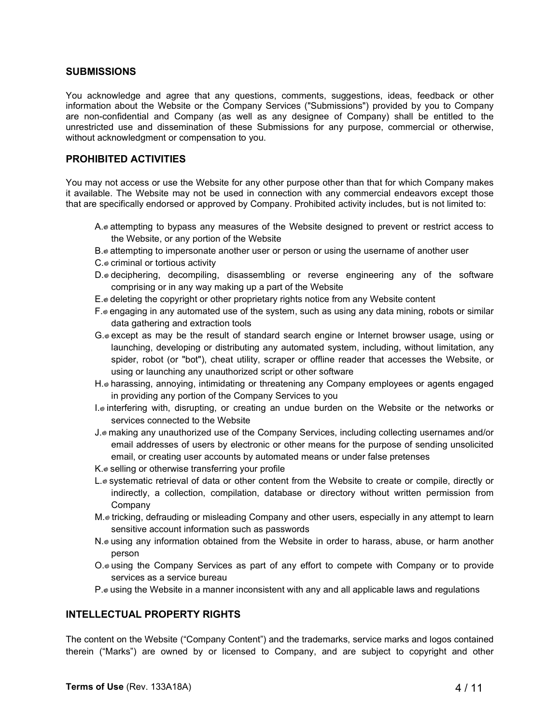#### **SUBMISSIONS**

You acknowledge and agree that any questions, comments, suggestions, ideas, feedback or other information about the Website or the Company Services ("Submissions") provided by you to Company are non-confidential and Company (as well as any designee of Company) shall be entitled to the unrestricted use and dissemination of these Submissions for any purpose, commercial or otherwise, without acknowledgment or compensation to you.

#### PROHIBITED ACTIVITIES

You may not access or use the Website for any other purpose other than that for which Company makes it available. The Website may not be used in connection with any commercial endeavors except those that are specifically endorsed or approved by Company. Prohibited activity includes, but is not limited to:

- A.<sup>®</sup> attempting to bypass any measures of the Website designed to prevent or restrict access to the Website, or any portion of the Website
- B.<sup>®</sup> attempting to impersonate another user or person or using the username of another user
- $C.\,$  criminal or tortious activity
- D. deciphering, decompiling, disassembling or reverse engineering any of the software comprising or in any way making up a part of the Website
- E.<sup>®</sup> deleting the copyright or other proprietary rights notice from any Website content
- F.<sup>®</sup> engaging in any automated use of the system, such as using any data mining, robots or similar data gathering and extraction tools
- G. except as may be the result of standard search engine or Internet browser usage, using or launching, developing or distributing any automated system, including, without limitation, any spider, robot (or "bot"), cheat utility, scraper or offline reader that accesses the Website, or using or launching any unauthorized script or other software
- H.<sup>®</sup> harassing, annoying, intimidating or threatening any Company employees or agents engaged in providing any portion of the Company Services to you
- $I.\circledast$  interfering with, disrupting, or creating an undue burden on the Website or the networks or services connected to the Website
- J. making any unauthorized use of the Company Services, including collecting usernames and/or email addresses of users by electronic or other means for the purpose of sending unsolicited email, or creating user accounts by automated means or under false pretenses
- K.<sup>®</sup> selling or otherwise transferring your profile
- L.<sup>®</sup> systematic retrieval of data or other content from the Website to create or compile, directly or indirectly, a collection, compilation, database or directory without written permission from Company
- M. Incking, defrauding or misleading Company and other users, especially in any attempt to learn sensitive account information such as passwords
- N.<sup>®</sup> using any information obtained from the Website in order to harass, abuse, or harm another person
- O. using the Company Services as part of any effort to compete with Company or to provide services as a service bureau
- P.<sup>®</sup> using the Website in a manner inconsistent with any and all applicable laws and regulations

# INTELLECTUAL PROPERTY RIGHTS

The content on the Website ("Company Content") and the trademarks, service marks and logos contained therein ("Marks") are owned by or licensed to Company, and are subject to copyright and other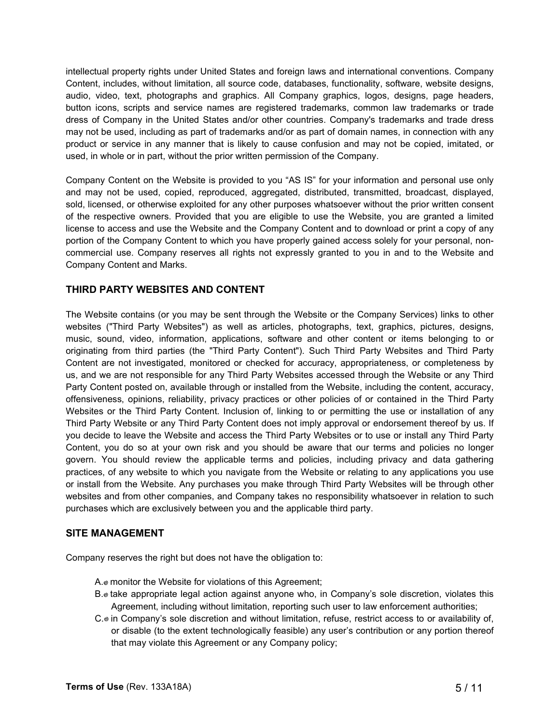intellectual property rights under United States and foreign laws and international conventions. Company Content, includes, without limitation, all source code, databases, functionality, software, website designs, audio, video, text, photographs and graphics. All Company graphics, logos, designs, page headers, button icons, scripts and service names are registered trademarks, common law trademarks or trade dress of Company in the United States and/or other countries. Company's trademarks and trade dress may not be used, including as part of trademarks and/or as part of domain names, in connection with any product or service in any manner that is likely to cause confusion and may not be copied, imitated, or used, in whole or in part, without the prior written permission of the Company.

Company Content on the Website is provided to you "AS IS" for your information and personal use only and may not be used, copied, reproduced, aggregated, distributed, transmitted, broadcast, displayed, sold, licensed, or otherwise exploited for any other purposes whatsoever without the prior written consent of the respective owners. Provided that you are eligible to use the Website, you are granted a limited license to access and use the Website and the Company Content and to download or print a copy of any portion of the Company Content to which you have properly gained access solely for your personal, noncommercial use. Company reserves all rights not expressly granted to you in and to the Website and Company Content and Marks.

# THIRD PARTY WEBSITES AND CONTENT

The Website contains (or you may be sent through the Website or the Company Services) links to other websites ("Third Party Websites") as well as articles, photographs, text, graphics, pictures, designs, music, sound, video, information, applications, software and other content or items belonging to or originating from third parties (the "Third Party Content"). Such Third Party Websites and Third Party Content are not investigated, monitored or checked for accuracy, appropriateness, or completeness by us, and we are not responsible for any Third Party Websites accessed through the Website or any Third Party Content posted on, available through or installed from the Website, including the content, accuracy, offensiveness, opinions, reliability, privacy practices or other policies of or contained in the Third Party Websites or the Third Party Content. Inclusion of, linking to or permitting the use or installation of any Third Party Website or any Third Party Content does not imply approval or endorsement thereof by us. If you decide to leave the Website and access the Third Party Websites or to use or install any Third Party of the respective owners. Provided that you are eligible to use the Website, you are granted a limited longton of the Company Content to which wis we properly gained access solely for your personal, non-<br>license to access govern. You should review the applicable terms and policies, including privacy and data gathering practices, of any website to which you navigate from the Website or relating to any applications you use or install from the Website. Any purchases you make through Third Party Websites will be through other websites and from other companies, and Company takes no responsibility whatsoever in relation to such purchases which are exclusively between you and the applicable third party.

# SITE MANAGEMENT

Company reserves the right but does not have the obligation to:

- A.<sup>®</sup> monitor the Website for violations of this Agreement;
- B.<sup>®</sup> take appropriate legal action against anyone who, in Company's sole discretion, violates this Agreement, including without limitation, reporting such user to law enforcement authorities;
- C.<sup>®</sup> in Company's sole discretion and without limitation, refuse, restrict access to or availability of, or disable (to the extent technologically feasible) any user's contribution or any portion thereof that may violate this Agreement or any Company policy;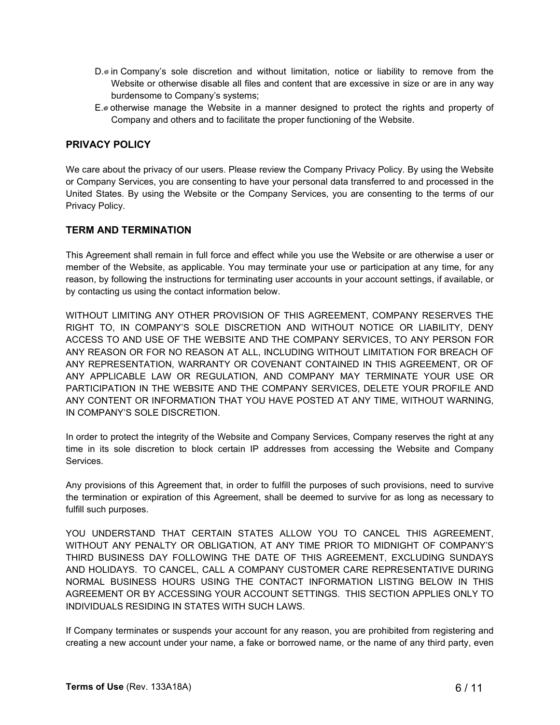- $D.\circled$  in Company's sole discretion and without limitation, notice or liability to remove from the Website or otherwise disable all files and content that are excessive in size or are in any way burdensome to Company's systems;
- E. otherwise manage the Website in a manner designed to protect the rights and property of Company and others and to facilitate the proper functioning of the Website.

## PRIVACY POLICY

We care about the privacy of our users. Please review the Company Privacy Policy. By using the Website or Company Services, you are consenting to have your personal data transferred to and processed in the United States. By using the Website or the Company Services, you are consenting to the terms of our Privacy Policy. D.<sup>®</sup> in Company's sole discretion and without limitation, notice or<br>Website or otherwise disable all files and content that are excess<br>burdensome to Company's systems;<br>E.® otherwise manage the Website in a manner designed

## TERM AND TERMINATION

This Agreement shall remain in full force and effect while you use the Website or are otherwise a user or member of the Website, as applicable. You may terminate your use or participation at any time, for any reason, by following the instructions for terminating user accounts in your account settings, if available, or

WITHOUT LIMITING ANY OTHER PROVISION OF THIS AGREEMENT, COMPANY RESERVES THE RIGHT TO, IN COMPANY'S SOLE DISCRETION AND WITHOUT NOTICE OR LIABILITY, DENY ACCESS TO AND USE OF THE WEBSITE AND THE COMPANY SERVICES, TO ANY PERSON FOR ANY REASON OR FOR NO REASON AT ALL, INCLUDING WITHOUT LIMITATION FOR BREACH OF ANY REPRESENTATION, WARRANTY OR COVENANT CONTAINED IN THIS AGREEMENT, OR OF ANY APPLICABLE LAW OR REGULATION, AND COMPANY MAY TERMINATE YOUR USE OR PARTICIPATION IN THE WEBSITE AND THE COMPANY SERVICES, DELETE YOUR PROFILE AND We care about the privacy of our users. Please review the Company Privacy Policy. By using the Website<br>or Company Services, you are consenting to have your personal data transferred to and processed in the<br>United States. B IN COMPANY'S SOLE DISCRETION.

In order to protect the integrity of the Website and Company Services, Company reserves the right at any time in its sole discretion to block certain IP addresses from accessing the Website and Company Services.

Any provisions of this Agreement that, in order to fulfill the purposes of such provisions, need to survive the termination or expiration of this Agreement, shall be deemed to survive for as long as necessary to fulfill such purposes.

YOU UNDERSTAND THAT CERTAIN STATES ALLOW YOU TO CANCEL THIS AGREEMENT, WITHOUT ANY PENALTY OR OBLIGATION, AT ANY TIME PRIOR TO MIDNIGHT OF COMPANY'S THIRD BUSINESS DAY FOLLOWING THE DATE OF THIS AGREEMENT, EXCLUDING SUNDAYS AND HOLIDAYS. TO CANCEL, CALL A COMPANY CUSTOMER CARE REPRESENTATIVE DURING NORMAL BUSINESS HOURS USING THE CONTACT INFORMATION LISTING BELOW IN THIS AGREEMENT OR BY ACCESSING YOUR ACCOUNT SETTINGS. THIS SECTION APPLIES ONLY TO INDIVIDUALS RESIDING IN STATES WITH SUCH LAWS.

If Company terminates or suspends your account for any reason, you are prohibited from registering and creating a new account under your name, a fake or borrowed name, or the name of any third party, even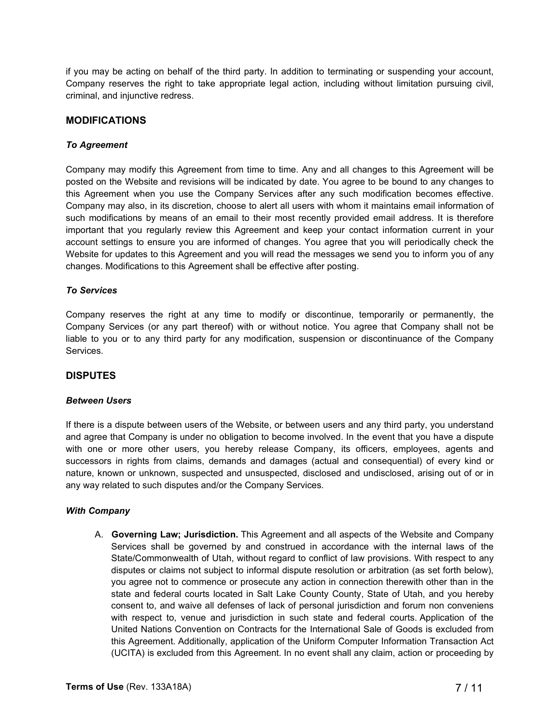if you may be acting on behalf of the third party. In addition to terminating or suspending your account, Company reserves the right to take appropriate legal action, including without limitation pursuing civil, criminal, and injunctive redress.

#### **MODIFICATIONS**

#### To Agreement

Company may modify this Agreement from time to time. Any and all changes to this Agreement will be posted on the Website and revisions will be indicated by date. You agree to be bound to any changes to this Agreement when you use the Company Services after any such modification becomes effective. Company may also, in its discretion, choose to alert all users with whom it maintains email information of such modifications by means of an email to their most recently provided email address. It is therefore important that you regularly review this Agreement and keep your contact information current in your account settings to ensure you are informed of changes. You agree that you will periodically check the Website for updates to this Agreement and you will read the messages we send you to inform you of any changes. Modifications to this Agreement shall be effective after posting.

#### To Services

Company reserves the right at any time to modify or discontinue, temporarily or permanently, the Company Services (or any part thereof) with or without notice. You agree that Company shall not be liable to you or to any third party for any modification, suspension or discontinuance of the Company Services.

#### **DISPUTES**

#### Between Users

If there is a dispute between users of the Website, or between users and any third party, you understand and agree that Company is under no obligation to become involved. In the event that you have a dispute with one or more other users, you hereby release Company, its officers, employees, agents and successors in rights from claims, demands and damages (actual and consequential) of every kind or nature, known or unknown, suspected and unsuspected, disclosed and undisclosed, arising out of or in any way related to such disputes and/or the Company Services. The may reserves the right at any time to modify or discontinue, temporarily or permanently, the<br>proposence for any part thereof) with or without notice. You agree that Company shall not be<br>you or to any third party for an

#### With Company

reserves the right at any time to modify or discontinue, temporarity or permanently, the<br>Services (or any part thereof) with or without notice. You agree that Company shall not be<br>u or to any third party for any modificati State/Commonwealth of Utah, without regard to conflict of law provisions. With respect to any disputes or claims not subject to informal dispute resolution or arbitration (as set forth below), you agree not to commence or prosecute any action in connection therewith other than in the **State and federal controlligation** to be<br>comparison to be the model of the model of the court in the event in the search of the search in the court<br>of the courts of the county is officers, employees, agents and<br>in rights consent to, and waive all defenses of lack of personal jurisdiction and forum non conveniens with respect to, venue and jurisdiction in such state and federal courts. Application of the United Nations Convention on Contracts for the International Sale of Goods is excluded from this Agreement. Additionally, application of the Uniform Computer Information Transaction Act (UCITA) is excluded from this Agreement. In no event shall any claim, action or proceeding by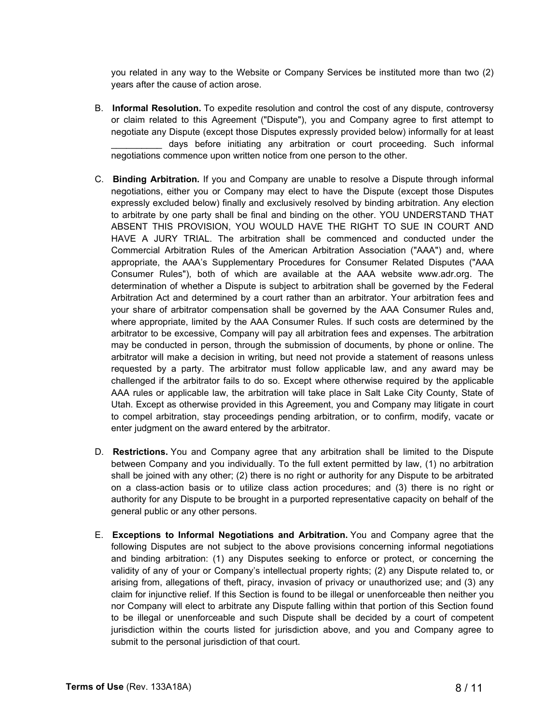you related in any way to the Website or Company Services be instituted more than two (2) years after the cause of action arose.

- B. Informal Resolution. To expedite resolution and control the cost of any dispute, controversy or claim related to this Agreement ("Dispute"), you and Company agree to first attempt to negotiate any Dispute (except those Disputes expressly provided below) informally for at least days before initiating any arbitration or court proceeding. Such informal you related in any way to the Website or Company Services be instituted more than two (2)<br>years after the cause of action arose.<br>
Informal Resolution. To expedite resolution and control the cost of any dispute, controversy
- C. Binding Arbitration. If you and Company are unable to resolve a Dispute through informal negotiations, either you or Company may elect to have the Dispute (except those Disputes expressly excluded below) finally and exclusively resolved by binding arbitration. Any election to arbitrate by one party shall be final and binding on the other. YOU UNDERSTAND THAT ABSENT THIS PROVISION, YOU WOULD HAVE THE RIGHT TO SUE IN COURT AND HAVE A JURY TRIAL. The arbitration shall be commenced and conducted under the Commercial Arbitration Rules of the American Arbitration Association ("AAA") and, where appropriate, the AAA's Supplementary Procedures for Consumer Related Disputes ("AAA Consumer Rules"), both of which are available at the AAA website www.adr.org. The determination of whether a Dispute is subject to arbitration shall be governed by the Federal Arbitration Act and determined by a court rather than an arbitrator. Your arbitration fees and your share of arbitrator compensation shall be governed by the AAA Consumer Rules and, where appropriate, limited by the AAA Consumer Rules. If such costs are determined by the arbitrator to be excessive, Company will pay all arbitration fees and expenses. The arbitration may be conducted in person, through the submission of documents, by phone or online. The arbitrator will make a decision in writing, but need not provide a statement of reasons unless requested by a party. The arbitrator must follow applicable law, and any award may be challenged if the arbitrator fails to do so. Except where otherwise required by the applicable AAA rules or applicable law, the arbitration will take place in Salt Lake City County, State of Utah. Except as otherwise provided in this Agreement, you and Company may litigate in court to compel arbitration, stay proceedings pending arbitration, or to confirm, modify, vacate or enter judgment on the award entered by the arbitrator.
- D. Restrictions. You and Company agree that any arbitration shall be limited to the Dispute between Company and you individually. To the full extent permitted by law, (1) no arbitration shall be joined with any other; (2) there is no right or authority for any Dispute to be arbitrated on a class-action basis or to utilize class action procedures; and (3) there is no right or authority for any Dispute to be brought in a purported representative capacity on behalf of the general public or any other persons.
- E. Exceptions to Informal Negotiations and Arbitration. You and Company agree that the following Disputes are not subject to the above provisions concerning informal negotiations and binding arbitration: (1) any Disputes seeking to enforce or protect, or concerning the validity of any of your or Company's intellectual property rights; (2) any Dispute related to, or arising from, allegations of theft, piracy, invasion of privacy or unauthorized use; and (3) any claim for injunctive relief. If this Section is found to be illegal or unenforceable then neither you nor Company will elect to arbitrate any Dispute falling within that portion of this Section found to be illegal or unenforceable and such Dispute shall be decided by a court of competent jurisdiction within the courts listed for jurisdiction above, and you and Company agree to submit to the personal jurisdiction of that court.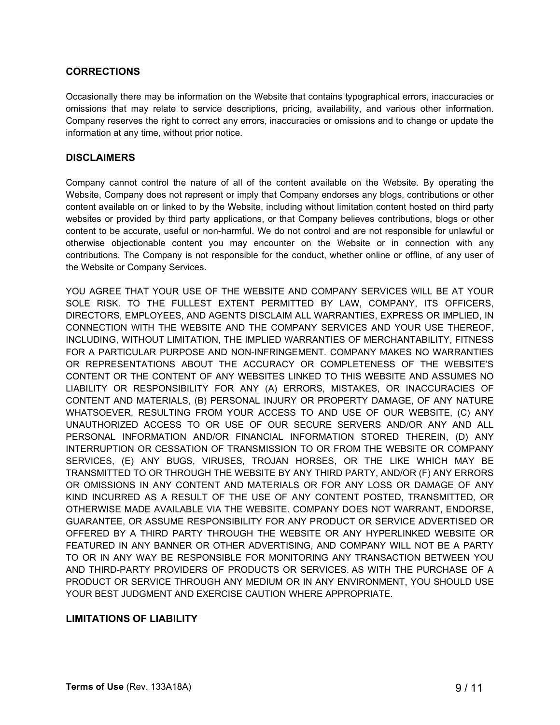#### **CORRECTIONS**

Occasionally there may be information on the Website that contains typographical errors, inaccuracies or omissions that may relate to service descriptions, pricing, availability, and various other information. Company reserves the right to correct any errors, inaccuracies or omissions and to change or update the information at any time, without prior notice.

#### **DISCLAIMERS**

Company cannot control the nature of all of the content available on the Website. By operating the Website, Company does not represent or imply that Company endorses any blogs, contributions or other content available on or linked to by the Website, including without limitation content hosted on third party websites or provided by third party applications, or that Company believes contributions, blogs or other content to be accurate, useful or non-harmful. We do not control and are not responsible for unlawful or otherwise objectionable content you may encounter on the Website or in connection with any contributions. The Company is not responsible for the conduct, whether online or offline, of any user of the Website or Company Services.

YOU AGREE THAT YOUR USE OF THE WEBSITE AND COMPANY SERVICES WILL BE AT YOUR SOLE RISK. TO THE FULLEST EXTENT PERMITTED BY LAW, COMPANY, ITS OFFICERS, DIRECTORS, EMPLOYEES, AND AGENTS DISCLAIM ALL WARRANTIES, EXPRESS OR IMPLIED, IN CONNECTION WITH THE WEBSITE AND THE COMPANY SERVICES AND YOUR USE THEREOF, INCLUDING, WITHOUT LIMITATION, THE IMPLIED WARRANTIES OF MERCHANTABILITY, FITNESS FOR A PARTICULAR PURPOSE AND NON-INFRINGEMENT. COMPANY MAKES NO WARRANTIES Information at any time, without prior notice.<br>
DISCLAIMERS<br>
Company cannot control the nature of all of the content available on the Website. By operating the<br>
Website, Company does not represent or imply that Company end CONTENT OR THE CONTENT OF ANY WEBSITES LINKED TO THIS WEBSITE AND ASSUMES NO LIABILITY OR RESPONSIBILITY FOR ANY (A) ERRORS, MISTAKES, OR INACCURACIES OF CONTENT AND MATERIALS, (B) PERSONAL INJURY OR PROPERTY DAMAGE, OF ANY NATURE WHATSOEVER, RESULTING FROM YOUR ACCESS TO AND USE OF OUR WEBSITE, (C) ANY UNAUTHORIZED ACCESS TO OR USE OF OUR SECURE SERVERS AND/OR ANY AND ALL PERSONAL INFORMATION AND/OR FINANCIAL INFORMATION STORED THEREIN, (D) ANY INTERRUPTION OR CESSATION OF TRANSMISSION TO OR FROM THE WEBSITE OR COMPANY SERVICES, (E) ANY BUGS, VIRUSES, TROJAN HORSES, OR THE LIKE WHICH MAY BE TRANSMITTED TO OR THROUGH THE WEBSITE BY ANY THIRD PARTY, AND/OR (F) ANY ERRORS OR OMISSIONS IN ANY CONTENT AND MATERIALS OR FOR ANY LOSS OR DAMAGE OF ANY KIND INCURRED AS A RESULT OF THE USE OF ANY CONTENT POSTED, TRANSMITTED, OR OTHERWISE MADE AVAILABLE VIA THE WEBSITE. COMPANY DOES NOT WARRANT, ENDORSE, GUARANTEE, OR ASSUME RESPONSIBILITY FOR ANY PRODUCT OR SERVICE ADVERTISED OR OFFERED BY A THIRD PARTY THROUGH THE WEBSITE OR ANY HYPERLINKED WEBSITE OR FEATURED IN ANY BANNER OR OTHER ADVERTISING, AND COMPANY WILL NOT BE A PARTY TO OR IN ANY WAY BE RESPONSIBLE FOR MONITORING ANY TRANSACTION BETWEEN YOU AND THIRD-PARTY PROVIDERS OF PRODUCTS OR SERVICES. AS WITH THE PURCHASE OF A PRODUCT OR SERVICE THROUGH ANY MEDIUM OR IN ANY ENVIRONMENT, YOU SHOULD USE YOUR BEST JUDGMENT AND EXERCISE CAUTION WHERE APPROPRIATE.

#### LIMITATIONS OF LIABILITY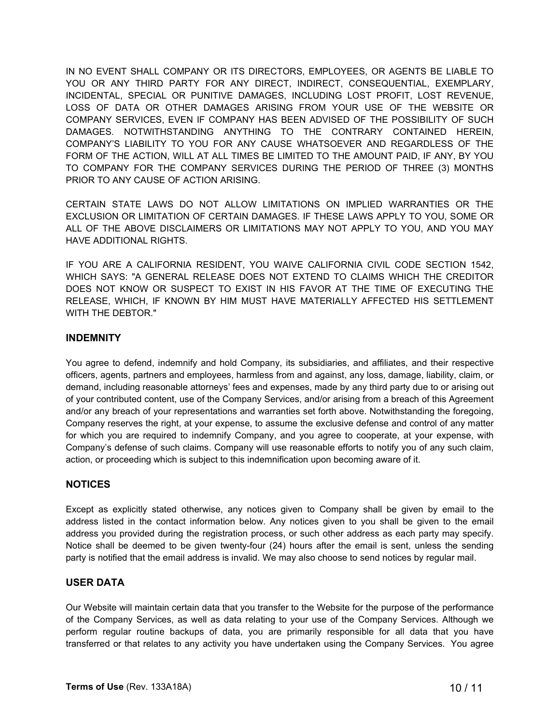IN NO EVENT SHALL COMPANY OR ITS DIRECTORS, EMPLOYEES, OR AGENTS BE LIABLE TO YOU OR ANY THIRD PARTY FOR ANY DIRECT, INDIRECT, CONSEQUENTIAL, EXEMPLARY, INCIDENTAL, SPECIAL OR PUNITIVE DAMAGES, INCLUDING LOST PROFIT, LOST REVENUE, LOSS OF DATA OR OTHER DAMAGES ARISING FROM YOUR USE OF THE WEBSITE OR COMPANY SERVICES, EVEN IF COMPANY HAS BEEN ADVISED OF THE POSSIBILITY OF SUCH DAMAGES. NOTWITHSTANDING ANYTHING TO THE CONTRARY CONTAINED HEREIN, COMPANY'S LIABILITY TO YOU FOR ANY CAUSE WHATSOEVER AND REGARDLESS OF THE FORM OF THE ACTION, WILL AT ALL TIMES BE LIMITED TO THE AMOUNT PAID, IF ANY, BY YOU TO COMPANY FOR THE COMPANY SERVICES DURING THE PERIOD OF THREE (3) MONTHS PRIOR TO ANY CAUSE OF ACTION ARISING.

CERTAIN STATE LAWS DO NOT ALLOW LIMITATIONS ON IMPLIED WARRANTIES OR THE EXCLUSION OR LIMITATION OF CERTAIN DAMAGES. IF THESE LAWS APPLY TO YOU, SOME OR ALL OF THE ABOVE DISCLAIMERS OR LIMITATIONS MAY NOT APPLY TO YOU, AND YOU MAY HAVE ADDITIONAL RIGHTS.

IF YOU ARE A CALIFORNIA RESIDENT, YOU WAIVE CALIFORNIA CIVIL CODE SECTION 1542, WHICH SAYS: "A GENERAL RELEASE DOES NOT EXTEND TO CLAIMS WHICH THE CREDITOR DOES NOT KNOW OR SUSPECT TO EXIST IN HIS FAVOR AT THE TIME OF EXECUTING THE RELEASE, WHICH, IF KNOWN BY HIM MUST HAVE MATERIALLY AFFECTED HIS SETTLEMENT WITH THE DEBTOR."

## **INDEMNITY**

You agree to defend, indemnify and hold Company, its subsidiaries, and affiliates, and their respective officers, agents, partners and employees, harmless from and against, any loss, damage, liability, claim, or demand, including reasonable attorneys' fees and expenses, made by any third party due to or arising out of your contributed content, use of the Company Services, and/or arising from a breach of this Agreement and/or any breach of your representations and warranties set forth above. Notwithstanding the foregoing, Company reserves the right, at your expense, to assume the exclusive defense and control of any matter for which you are required to indemnify Company, and you agree to cooperate, at your expense, with Company's defense of such claims. Company will use reasonable efforts to notify you of any such claim, action, or proceeding which is subject to this indemnification upon becoming aware of it. WHICH SAYS: "A GENERAL RELEASE DOES NOT EXTEND TO CLAIMS WHICH THE CREDITOR<br>DOES NOT KNOW OR SUSPECT TO EXIST IN HIS FAVOR AT THE TIME OF EXECUTING THE<br>RELEASE, WHICH, IF KNOWN BY HIM MUST HAVE MATERIALLY AFFECTED HIS SETT

# NOTICES

address listed in the contact information below. Any notices given to you shall be given to the email address you provided during the registration process, or such other address as each party may specify. Notice shall be deemed to be given twenty-four (24) hours after the email is sent, unless the sending party is notified that the email address is invalid. We may also choose to send notices by regular mail.

# USER DATA

Our Website will maintain certain data that you transfer to the Website for the purpose of the performance of the Company Services, as well as data relating to your use of the Company Services. Although we perform regular routine backups of data, you are primarily responsible for all data that you have transferred or that relates to any activity you have undertaken using the Company Services. You agree